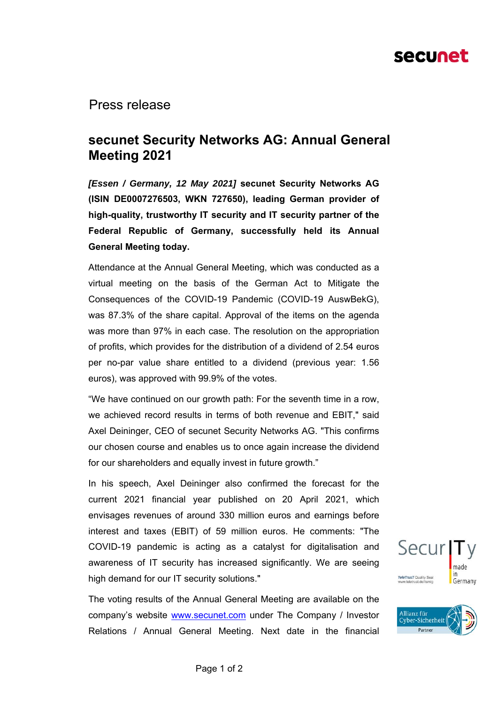# secunet

Press release

## **secunet Security Networks AG: Annual General Meeting 2021**

*[Essen / Germany, 12 May 2021]* **secunet Security Networks AG (ISIN DE0007276503, WKN 727650), leading German provider of high-quality, trustworthy IT security and IT security partner of the Federal Republic of Germany, successfully held its Annual General Meeting today.** 

Attendance at the Annual General Meeting, which was conducted as a virtual meeting on the basis of the German Act to Mitigate the Consequences of the COVID-19 Pandemic (COVID-19 AuswBekG), was 87.3% of the share capital. Approval of the items on the agenda was more than 97% in each case. The resolution on the appropriation of profits, which provides for the distribution of a dividend of 2.54 euros per no-par value share entitled to a dividend (previous year: 1.56 euros), was approved with 99.9% of the votes.

"We have continued on our growth path: For the seventh time in a row, we achieved record results in terms of both revenue and EBIT," said Axel Deininger, CEO of secunet Security Networks AG. "This confirms our chosen course and enables us to once again increase the dividend for our shareholders and equally invest in future growth."

In his speech, Axel Deininger also confirmed the forecast for the current 2021 financial year published on 20 April 2021, which envisages revenues of around 330 million euros and earnings before interest and taxes (EBIT) of 59 million euros. He comments: "The COVID-19 pandemic is acting as a catalyst for digitalisation and awareness of IT security has increased significantly. We are seeing high demand for our IT security solutions."

The voting results of the Annual General Meeting are available on the company's website www.secunet.com under The Company / Investor Relations / Annual General Meeting. Next date in the financial